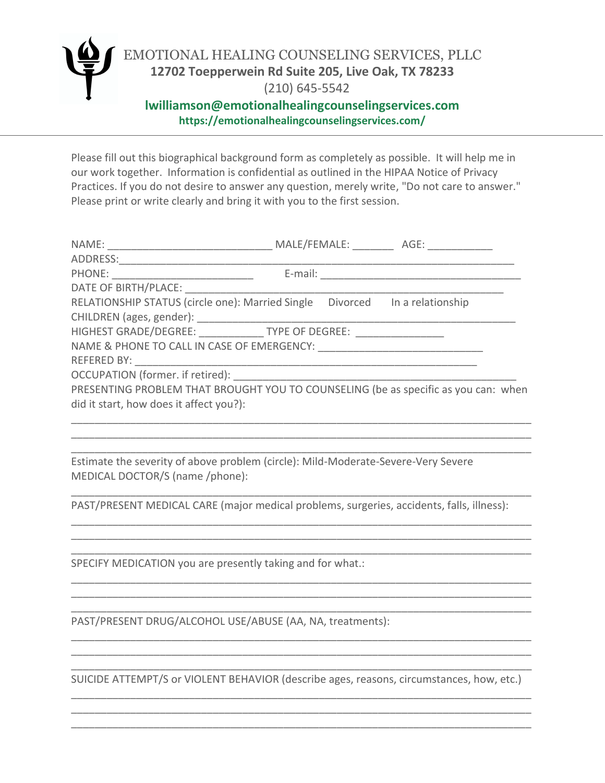

Please fill out this biographical background form as completely as possible. It will help me in our work together. Information is confidential as outlined in the HIPAA Notice of Privacy Practices. If you do not desire to answer any question, merely write, "Do not care to answer." Please print or write clearly and bring it with you to the first session.

|                                                                                    |  |  | MALE/FEMALE: AGE: |  |
|------------------------------------------------------------------------------------|--|--|-------------------|--|
|                                                                                    |  |  |                   |  |
| PHONE: ___________________________                                                 |  |  |                   |  |
| DATE OF BIRTH/PLACE:                                                               |  |  |                   |  |
| RELATIONSHIP STATUS (circle one): Married Single  Divorced  In a relationship      |  |  |                   |  |
|                                                                                    |  |  |                   |  |
| HIGHEST GRADE/DEGREE: _______________ TYPE OF DEGREE: _________________            |  |  |                   |  |
|                                                                                    |  |  |                   |  |
|                                                                                    |  |  |                   |  |
|                                                                                    |  |  |                   |  |
| PRESENTING PROBLEM THAT BROUGHT YOU TO COUNSELING (be as specific as you can: when |  |  |                   |  |
| did it start, how does it affect you?):                                            |  |  |                   |  |
|                                                                                    |  |  |                   |  |

Estimate the severity of above problem (circle): Mild-Moderate-Severe-Very Severe MEDICAL DOCTOR/S (name /phone):

PAST/PRESENT MEDICAL CARE (major medical problems, surgeries, accidents, falls, illness):

\_\_\_\_\_\_\_\_\_\_\_\_\_\_\_\_\_\_\_\_\_\_\_\_\_\_\_\_\_\_\_\_\_\_\_\_\_\_\_\_\_\_\_\_\_\_\_\_\_\_\_\_\_\_\_\_\_\_\_\_\_\_\_\_\_\_\_\_\_\_\_\_\_\_\_\_\_\_ \_\_\_\_\_\_\_\_\_\_\_\_\_\_\_\_\_\_\_\_\_\_\_\_\_\_\_\_\_\_\_\_\_\_\_\_\_\_\_\_\_\_\_\_\_\_\_\_\_\_\_\_\_\_\_\_\_\_\_\_\_\_\_\_\_\_\_\_\_\_\_\_\_\_\_\_\_\_

\_\_\_\_\_\_\_\_\_\_\_\_\_\_\_\_\_\_\_\_\_\_\_\_\_\_\_\_\_\_\_\_\_\_\_\_\_\_\_\_\_\_\_\_\_\_\_\_\_\_\_\_\_\_\_\_\_\_\_\_\_\_\_\_\_\_\_\_\_\_\_\_\_\_\_\_\_\_

\_\_\_\_\_\_\_\_\_\_\_\_\_\_\_\_\_\_\_\_\_\_\_\_\_\_\_\_\_\_\_\_\_\_\_\_\_\_\_\_\_\_\_\_\_\_\_\_\_\_\_\_\_\_\_\_\_\_\_\_\_\_\_\_\_\_\_\_\_\_\_\_\_\_\_\_\_\_ \_\_\_\_\_\_\_\_\_\_\_\_\_\_\_\_\_\_\_\_\_\_\_\_\_\_\_\_\_\_\_\_\_\_\_\_\_\_\_\_\_\_\_\_\_\_\_\_\_\_\_\_\_\_\_\_\_\_\_\_\_\_\_\_\_\_\_\_\_\_\_\_\_\_\_\_\_\_ \_\_\_\_\_\_\_\_\_\_\_\_\_\_\_\_\_\_\_\_\_\_\_\_\_\_\_\_\_\_\_\_\_\_\_\_\_\_\_\_\_\_\_\_\_\_\_\_\_\_\_\_\_\_\_\_\_\_\_\_\_\_\_\_\_\_\_\_\_\_\_\_\_\_\_\_\_\_

\_\_\_\_\_\_\_\_\_\_\_\_\_\_\_\_\_\_\_\_\_\_\_\_\_\_\_\_\_\_\_\_\_\_\_\_\_\_\_\_\_\_\_\_\_\_\_\_\_\_\_\_\_\_\_\_\_\_\_\_\_\_\_\_\_\_\_\_\_\_\_\_\_\_\_\_\_\_ \_\_\_\_\_\_\_\_\_\_\_\_\_\_\_\_\_\_\_\_\_\_\_\_\_\_\_\_\_\_\_\_\_\_\_\_\_\_\_\_\_\_\_\_\_\_\_\_\_\_\_\_\_\_\_\_\_\_\_\_\_\_\_\_\_\_\_\_\_\_\_\_\_\_\_\_\_\_ \_\_\_\_\_\_\_\_\_\_\_\_\_\_\_\_\_\_\_\_\_\_\_\_\_\_\_\_\_\_\_\_\_\_\_\_\_\_\_\_\_\_\_\_\_\_\_\_\_\_\_\_\_\_\_\_\_\_\_\_\_\_\_\_\_\_\_\_\_\_\_\_\_\_\_\_\_\_

\_\_\_\_\_\_\_\_\_\_\_\_\_\_\_\_\_\_\_\_\_\_\_\_\_\_\_\_\_\_\_\_\_\_\_\_\_\_\_\_\_\_\_\_\_\_\_\_\_\_\_\_\_\_\_\_\_\_\_\_\_\_\_\_\_\_\_\_\_\_\_\_\_\_\_\_\_\_ \_\_\_\_\_\_\_\_\_\_\_\_\_\_\_\_\_\_\_\_\_\_\_\_\_\_\_\_\_\_\_\_\_\_\_\_\_\_\_\_\_\_\_\_\_\_\_\_\_\_\_\_\_\_\_\_\_\_\_\_\_\_\_\_\_\_\_\_\_\_\_\_\_\_\_\_\_\_

SPECIFY MEDICATION you are presently taking and for what.:

PAST/PRESENT DRUG/ALCOHOL USE/ABUSE (AA, NA, treatments):

\_\_\_\_\_\_\_\_\_\_\_\_\_\_\_\_\_\_\_\_\_\_\_\_\_\_\_\_\_\_\_\_\_\_\_\_\_\_\_\_\_\_\_\_\_\_\_\_\_\_\_\_\_\_\_\_\_\_\_\_\_\_\_\_\_\_\_\_\_\_\_\_\_\_\_\_\_\_ SUICIDE ATTEMPT/S or VIOLENT BEHAVIOR (describe ages, reasons, circumstances, how, etc.) \_\_\_\_\_\_\_\_\_\_\_\_\_\_\_\_\_\_\_\_\_\_\_\_\_\_\_\_\_\_\_\_\_\_\_\_\_\_\_\_\_\_\_\_\_\_\_\_\_\_\_\_\_\_\_\_\_\_\_\_\_\_\_\_\_\_\_\_\_\_\_\_\_\_\_\_\_\_

\_\_\_\_\_\_\_\_\_\_\_\_\_\_\_\_\_\_\_\_\_\_\_\_\_\_\_\_\_\_\_\_\_\_\_\_\_\_\_\_\_\_\_\_\_\_\_\_\_\_\_\_\_\_\_\_\_\_\_\_\_\_\_\_\_\_\_\_\_\_\_\_\_\_\_\_\_\_ \_\_\_\_\_\_\_\_\_\_\_\_\_\_\_\_\_\_\_\_\_\_\_\_\_\_\_\_\_\_\_\_\_\_\_\_\_\_\_\_\_\_\_\_\_\_\_\_\_\_\_\_\_\_\_\_\_\_\_\_\_\_\_\_\_\_\_\_\_\_\_\_\_\_\_\_\_\_